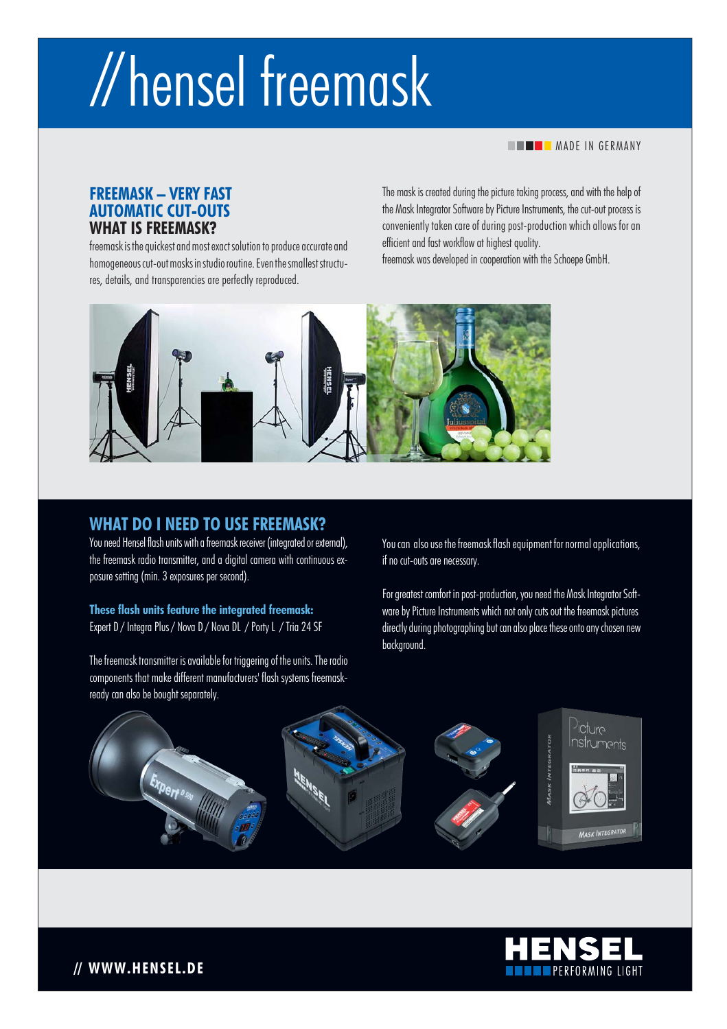# // hensel freemask

**MADE IN GERMANY** 

## **FREEMASK - VERY FAST AUTOMATIC CUT-OUTS WHAT IS FREEMASK?**

freemask is the quickest and most exact solution to produce accurate and homogeneous cut-out masks in studio routine. Even the smallest structures, details, and transparencies are perfectly reproduced.

The mask is created during the picture taking process, and with the help of the Mask Integrator Software by Picture Instruments, the cut-out process is conveniently taken care of during post-production which allows for an efficient and fast workflow at highest quality.

freemask was developed in cooperation with the Schoepe GmbH.



## **WHAT DO I NEED TO USE FREEMASK?**

You need Hensel flash units with a freemask receiver (integrated or external), the freemask radio transmitter, and a digital camera with continuous exposure setting (min. 3 exposures per second).

**These flash units feature the integrated freemask:**  Expert D / Integra Plus / Nova D / Nova DL / Porty L / Tria 24 SF

The freemask transmitter is available for triggering of the units. The radio components that make different manufacturers' flash systems freemaskready can also be bought separately.

You can also use the freemask flash equipment for normal applications, if no cut-outs are necessary.

For greatest comfort in post-production, you need the Mask Integrator Software by Picture Instruments which not only cuts out the freemask pictures directly during photographing but can also place these onto any chosen new background.





**// WWW.HENSEL.DE**